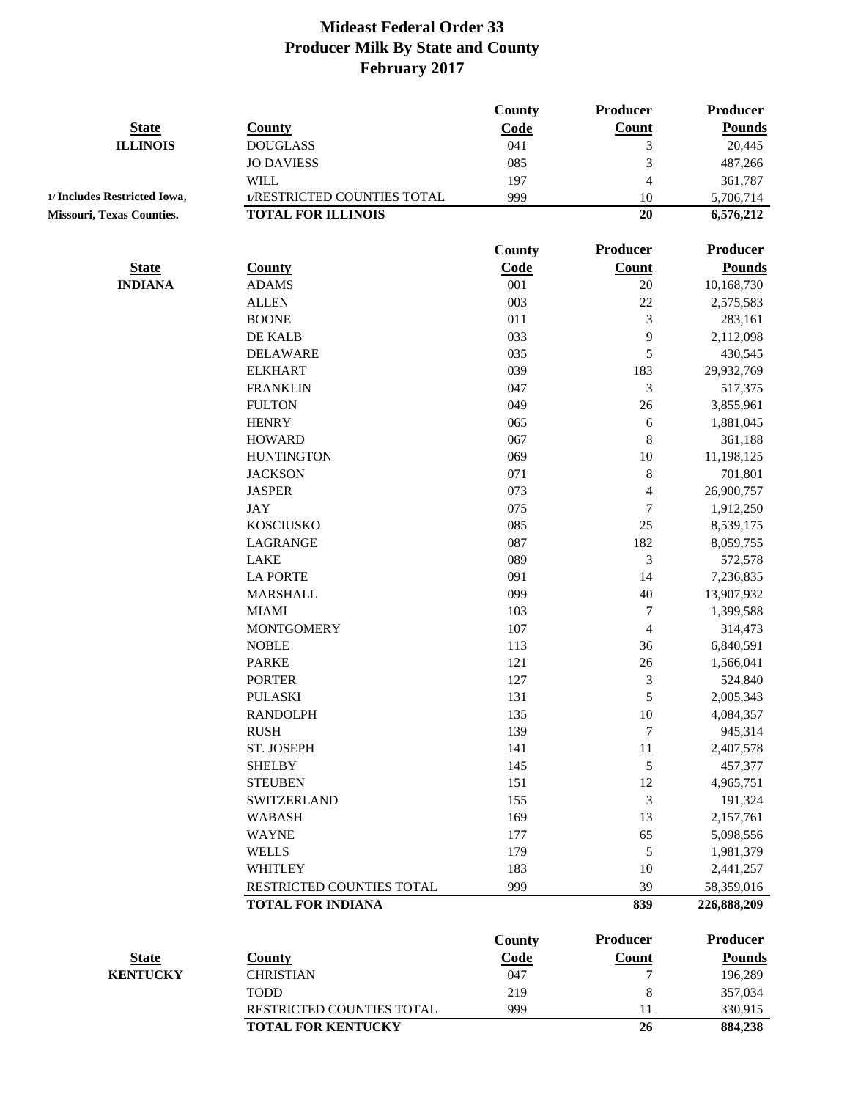|                                  |                                                       | County | <b>Producer</b>  | Producer                  |
|----------------------------------|-------------------------------------------------------|--------|------------------|---------------------------|
| <b>State</b>                     | <b>County</b>                                         | Code   | <b>Count</b>     | <b>Pounds</b>             |
| <b>ILLINOIS</b>                  | <b>DOUGLASS</b>                                       | 041    | $\mathfrak{Z}$   | 20,445                    |
|                                  | <b>JO DAVIESS</b>                                     | 085    | $\sqrt{3}$       | 487,266                   |
|                                  | <b>WILL</b>                                           | 197    | $\overline{4}$   | 361,787                   |
| 1/ Includes Restricted Iowa,     | 1/RESTRICTED COUNTIES TOTAL                           | 999    | 10               | 5,706,714                 |
| <b>Missouri, Texas Counties.</b> | <b>TOTAL FOR ILLINOIS</b>                             |        | 20               | 6,576,212                 |
|                                  |                                                       | County | Producer         | <b>Producer</b>           |
| <b>State</b>                     | <b>County</b>                                         | Code   | <b>Count</b>     | <b>Pounds</b>             |
| <b>INDIANA</b>                   | <b>ADAMS</b>                                          | 001    | $20\,$           | 10,168,730                |
|                                  | <b>ALLEN</b>                                          | 003    | 22               | 2,575,583                 |
|                                  | <b>BOONE</b>                                          | 011    | 3                | 283,161                   |
|                                  | DE KALB                                               | 033    | 9                | 2,112,098                 |
|                                  | <b>DELAWARE</b>                                       | 035    | 5                | 430,545                   |
|                                  | <b>ELKHART</b>                                        | 039    | 183              | 29,932,769                |
|                                  | <b>FRANKLIN</b>                                       | 047    | $\mathfrak{Z}$   | 517,375                   |
|                                  | <b>FULTON</b>                                         | 049    | 26               | 3,855,961                 |
|                                  | <b>HENRY</b>                                          | 065    | 6                | 1,881,045                 |
|                                  | <b>HOWARD</b>                                         | 067    | $\,$ 8 $\,$      | 361,188                   |
|                                  | <b>HUNTINGTON</b>                                     | 069    | 10               | 11,198,125                |
|                                  | <b>JACKSON</b>                                        | 071    | $\,8\,$          | 701,801                   |
|                                  | <b>JASPER</b>                                         | 073    | $\overline{4}$   | 26,900,757                |
|                                  | <b>JAY</b>                                            | 075    | $\boldsymbol{7}$ | 1,912,250                 |
|                                  | <b>KOSCIUSKO</b>                                      | 085    | 25               | 8,539,175                 |
|                                  | LAGRANGE                                              | 087    | 182              | 8,059,755                 |
|                                  | <b>LAKE</b>                                           | 089    | $\mathfrak{Z}$   | 572,578                   |
|                                  | <b>LA PORTE</b>                                       | 091    | 14               | 7,236,835                 |
|                                  | <b>MARSHALL</b>                                       | 099    | 40               | 13,907,932                |
|                                  | <b>MIAMI</b>                                          | 103    | $\boldsymbol{7}$ | 1,399,588                 |
|                                  | <b>MONTGOMERY</b>                                     | 107    | 4                | 314,473                   |
|                                  | <b>NOBLE</b>                                          | 113    | 36               | 6,840,591                 |
|                                  | <b>PARKE</b>                                          | 121    | 26               | 1,566,041                 |
|                                  | <b>PORTER</b>                                         | 127    | $\sqrt{3}$       | 524,840                   |
|                                  | <b>PULASKI</b>                                        | 131    | 5                | 2,005,343                 |
|                                  | <b>RANDOLPH</b>                                       | 135    | 10               | 4,084,357                 |
|                                  | <b>RUSH</b>                                           | 139    | $\boldsymbol{7}$ | 945,314                   |
|                                  | ST. JOSEPH                                            | 141    | $11\,$           | 2,407,578                 |
|                                  | <b>SHELBY</b>                                         | 145    | 5                | 457,377                   |
|                                  | <b>STEUBEN</b>                                        | 151    | 12               | 4,965,751                 |
|                                  | <b>SWITZERLAND</b>                                    | 155    | $\mathfrak{Z}$   | 191,324                   |
|                                  | <b>WABASH</b>                                         | 169    | 13               | 2,157,761                 |
|                                  | <b>WAYNE</b>                                          | 177    | 65               |                           |
|                                  |                                                       |        |                  | 5,098,556                 |
|                                  | <b>WELLS</b>                                          | 179    | 5                | 1,981,379                 |
|                                  | <b>WHITLEY</b>                                        | 183    | 10               | 2,441,257                 |
|                                  | RESTRICTED COUNTIES TOTAL<br><b>TOTAL FOR INDIANA</b> | 999    | 39<br>839        | 58,359,016<br>226,888,209 |
|                                  |                                                       |        |                  |                           |
|                                  |                                                       | County | <b>Producer</b>  | <b>Producer</b>           |
| <b>State</b>                     | <b>County</b>                                         | Code   | Count            | <b>Pounds</b>             |
| <b>KENTUCKY</b>                  | <b>CHRISTIAN</b>                                      | 047    | 7                | 196,289                   |
|                                  | <b>TODD</b>                                           | 219    | $\,$ 8 $\,$      | 357,034                   |
|                                  | RESTRICTED COUNTIES TOTAL                             | 999    | 11               | 330,915                   |
|                                  | <b>TOTAL FOR KENTUCKY</b>                             |        | 26               | 884,238                   |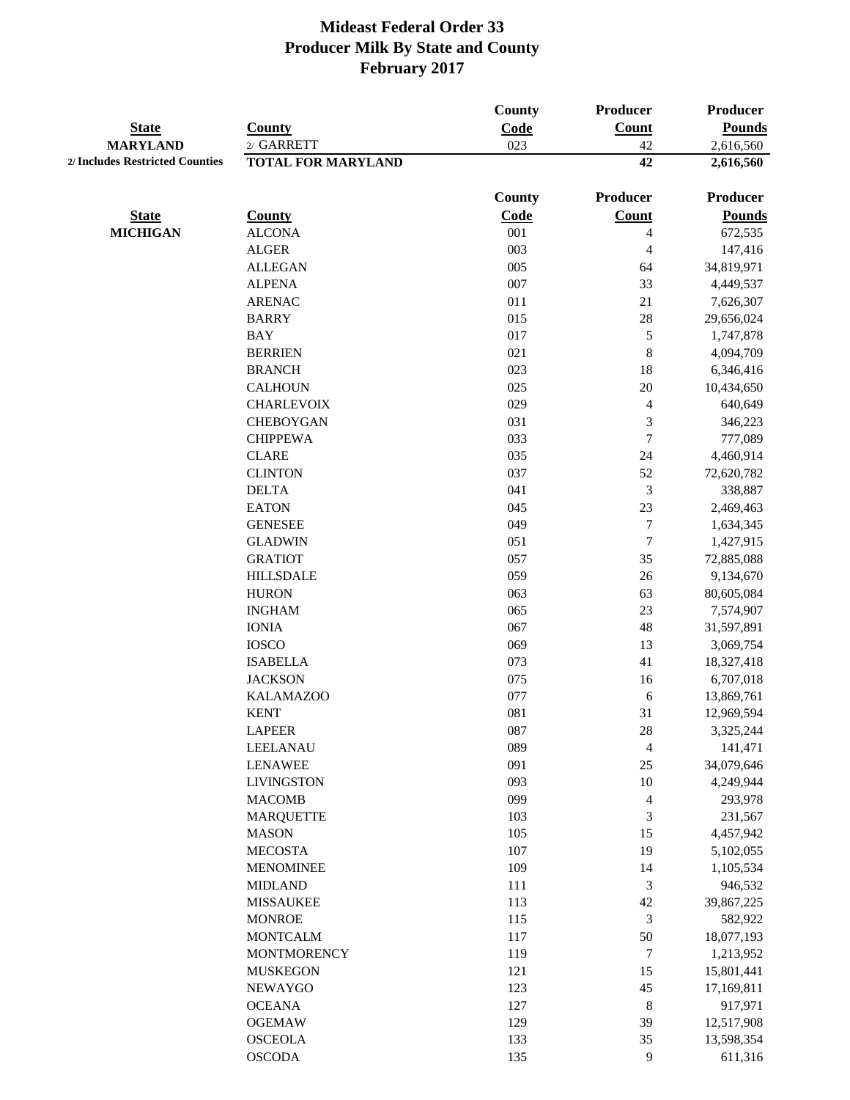|                                 |                                     | County      | <b>Producer</b>     | <b>Producer</b>            |
|---------------------------------|-------------------------------------|-------------|---------------------|----------------------------|
| <b>State</b><br><b>MARYLAND</b> | <b>County</b><br>2/ GARRETT         | Code<br>023 | <b>Count</b><br>42  | <b>Pounds</b><br>2,616,560 |
| 2/ Includes Restricted Counties | <b>TOTAL FOR MARYLAND</b>           |             | 42                  | 2,616,560                  |
|                                 |                                     |             |                     |                            |
|                                 |                                     | County      | <b>Producer</b>     | <b>Producer</b>            |
| <b>State</b>                    | <b>County</b>                       | Code        | Count               | <b>Pounds</b>              |
| <b>MICHIGAN</b>                 | <b>ALCONA</b>                       | 001         | $\overline{4}$      | 672,535                    |
|                                 | <b>ALGER</b>                        | 003         | 4                   | 147,416                    |
|                                 | <b>ALLEGAN</b>                      | 005         | 64                  | 34,819,971                 |
|                                 | <b>ALPENA</b>                       | 007         | 33                  | 4,449,537                  |
|                                 | <b>ARENAC</b>                       | 011         | 21                  | 7,626,307                  |
|                                 | <b>BARRY</b>                        | 015         | $28\,$              | 29,656,024                 |
|                                 | <b>BAY</b>                          | 017<br>021  | $\sqrt{5}$          | 1,747,878                  |
|                                 | <b>BERRIEN</b>                      | 023         | $\,8\,$             | 4,094,709                  |
|                                 | <b>BRANCH</b>                       | 025         | 18<br>$20\,$        | 6,346,416<br>10,434,650    |
|                                 | <b>CALHOUN</b><br><b>CHARLEVOIX</b> | 029         |                     | 640,649                    |
|                                 | <b>CHEBOYGAN</b>                    | 031         | $\overline{4}$<br>3 |                            |
|                                 | <b>CHIPPEWA</b>                     | 033         | $\tau$              | 346,223<br>777,089         |
|                                 | <b>CLARE</b>                        | 035         | 24                  | 4,460,914                  |
|                                 | <b>CLINTON</b>                      | 037         | 52                  | 72,620,782                 |
|                                 | <b>DELTA</b>                        | 041         | 3                   | 338,887                    |
|                                 | <b>EATON</b>                        | 045         | 23                  | 2,469,463                  |
|                                 | <b>GENESEE</b>                      | 049         | $\tau$              | 1,634,345                  |
|                                 | <b>GLADWIN</b>                      | 051         | $\boldsymbol{7}$    | 1,427,915                  |
|                                 | <b>GRATIOT</b>                      | 057         | 35                  | 72,885,088                 |
|                                 | <b>HILLSDALE</b>                    | 059         | 26                  | 9,134,670                  |
|                                 | <b>HURON</b>                        | 063         | 63                  | 80,605,084                 |
|                                 | <b>INGHAM</b>                       | 065         | 23                  | 7,574,907                  |
|                                 | <b>IONIA</b>                        | 067         | 48                  | 31,597,891                 |
|                                 | <b>IOSCO</b>                        | 069         | 13                  | 3,069,754                  |
|                                 | <b>ISABELLA</b>                     | 073         | 41                  | 18,327,418                 |
|                                 | <b>JACKSON</b>                      | 075         | 16                  | 6,707,018                  |
|                                 | <b>KALAMAZOO</b>                    | 077         | 6                   | 13,869,761                 |
|                                 | <b>KENT</b>                         | 081         | 31                  | 12,969,594                 |
|                                 | <b>LAPEER</b>                       | 087         | $28\,$              | 3,325,244                  |
|                                 | LEELANAU                            | 089         | $\overline{4}$      | 141,471                    |
|                                 | <b>LENAWEE</b>                      | 091         | $25\,$              | 34,079,646                 |
|                                 | <b>LIVINGSTON</b>                   | 093         | 10                  | 4,249,944                  |
|                                 | <b>MACOMB</b>                       | 099         | $\overline{4}$      | 293,978                    |
|                                 | <b>MARQUETTE</b>                    | 103         | $\mathfrak 3$       | 231,567                    |
|                                 | <b>MASON</b>                        | 105         | 15                  | 4,457,942                  |
|                                 | <b>MECOSTA</b>                      | 107         | 19                  | 5,102,055                  |
|                                 | <b>MENOMINEE</b>                    | 109         | 14                  | 1,105,534                  |
|                                 | <b>MIDLAND</b>                      | 111         | $\mathfrak{Z}$      | 946,532                    |
|                                 | <b>MISSAUKEE</b>                    | 113         | 42                  | 39,867,225                 |
|                                 | <b>MONROE</b>                       | 115         | 3                   | 582,922                    |
|                                 | <b>MONTCALM</b>                     | 117         | 50                  | 18,077,193                 |
|                                 | <b>MONTMORENCY</b>                  | 119         | $\tau$              | 1,213,952                  |
|                                 | <b>MUSKEGON</b>                     | 121         | 15                  | 15,801,441                 |
|                                 | <b>NEWAYGO</b>                      | 123         | 45                  | 17,169,811                 |
|                                 | <b>OCEANA</b>                       | 127         | $\,8\,$             | 917,971                    |
|                                 | <b>OGEMAW</b>                       | 129         | 39                  | 12,517,908                 |
|                                 | <b>OSCEOLA</b>                      | 133         | 35                  | 13,598,354                 |
|                                 | <b>OSCODA</b>                       | 135         | $\overline{9}$      | 611,316                    |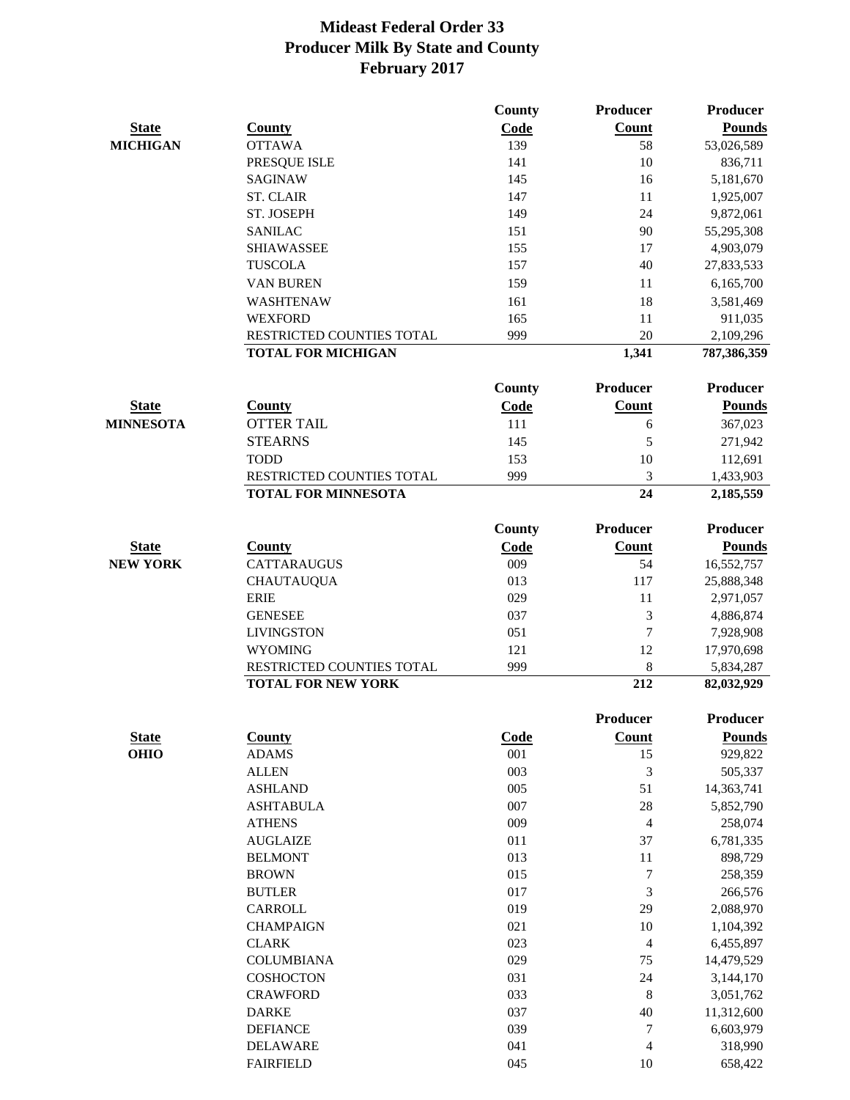|                                 |                                                        | County      | Producer         | Producer                |
|---------------------------------|--------------------------------------------------------|-------------|------------------|-------------------------|
| <b>State</b>                    | <b>County</b>                                          | Code        | <b>Count</b>     | <b>Pounds</b>           |
| <b>MICHIGAN</b>                 | <b>OTTAWA</b>                                          | 139         | 58               | 53,026,589              |
|                                 | PRESQUE ISLE                                           | 141         | 10               | 836,711                 |
|                                 | <b>SAGINAW</b>                                         | 145         | 16               | 5,181,670               |
|                                 | <b>ST. CLAIR</b>                                       | 147         | 11               | 1,925,007               |
|                                 | ST. JOSEPH                                             | 149         | 24               | 9,872,061               |
|                                 | <b>SANILAC</b>                                         | 151         | 90               | 55,295,308              |
|                                 | <b>SHIAWASSEE</b>                                      | 155         | 17               | 4,903,079               |
|                                 | <b>TUSCOLA</b>                                         | 157         | 40               | 27,833,533              |
|                                 | <b>VAN BUREN</b>                                       | 159         | 11               | 6,165,700               |
|                                 | WASHTENAW                                              | 161         | 18               | 3,581,469               |
|                                 | <b>WEXFORD</b>                                         | 165         | 11               | 911,035                 |
|                                 | RESTRICTED COUNTIES TOTAL                              | 999         | 20               | 2,109,296               |
|                                 | <b>TOTAL FOR MICHIGAN</b>                              |             | 1,341            | 787,386,359             |
|                                 |                                                        | County      | Producer         | <b>Producer</b>         |
| <b>State</b>                    | <b>County</b>                                          | Code        | <b>Count</b>     | <b>Pounds</b>           |
| <b>MINNESOTA</b>                | <b>OTTER TAIL</b>                                      | 111         | 6                | 367,023                 |
|                                 | <b>STEARNS</b>                                         | 145         | 5                | 271,942                 |
|                                 | <b>TODD</b>                                            | 153         | 10               | 112,691                 |
|                                 | RESTRICTED COUNTIES TOTAL                              | 999         | 3                | 1,433,903               |
|                                 | <b>TOTAL FOR MINNESOTA</b>                             |             | 24               | 2,185,559               |
|                                 |                                                        | County      | <b>Producer</b>  | <b>Producer</b>         |
|                                 |                                                        |             |                  |                         |
| <b>State</b><br><b>NEW YORK</b> | <b>County</b>                                          | Code<br>009 | <b>Count</b>     | <b>Pounds</b>           |
|                                 | <b>CATTARAUGUS</b>                                     | 013         | 54<br>117        | 16,552,757              |
|                                 | <b>CHAUTAUQUA</b>                                      |             |                  | 25,888,348              |
|                                 | <b>ERIE</b>                                            | 029         | 11               | 2,971,057               |
|                                 | <b>GENESEE</b>                                         | 037         | 3                | 4,886,874               |
|                                 | <b>LIVINGSTON</b>                                      | 051         | $\boldsymbol{7}$ | 7,928,908               |
|                                 | <b>WYOMING</b>                                         | 121         | 12               | 17,970,698              |
|                                 | RESTRICTED COUNTIES TOTAL<br><b>TOTAL FOR NEW YORK</b> | 999         | 8<br>212         | 5,834,287<br>82,032,929 |
|                                 |                                                        |             |                  |                         |
|                                 |                                                        |             | <b>Producer</b>  | Producer                |
|                                 | <b>County</b>                                          | Code        | <b>Count</b>     | <b>Pounds</b>           |
| <b>State</b><br><b>OHIO</b>     | <b>ADAMS</b>                                           | 001         | 15               | 929,822                 |
|                                 | <b>ALLEN</b>                                           | 003         | 3                | 505,337                 |
|                                 | <b>ASHLAND</b>                                         | 005         | 51               | 14,363,741              |
|                                 | <b>ASHTABULA</b>                                       | 007         | 28               | 5,852,790               |
|                                 | <b>ATHENS</b>                                          | 009         | $\overline{4}$   | 258,074                 |
|                                 | <b>AUGLAIZE</b>                                        | 011         | 37               | 6,781,335               |
|                                 | <b>BELMONT</b>                                         | 013         | 11               | 898,729                 |
|                                 | <b>BROWN</b>                                           | 015         | $\boldsymbol{7}$ | 258,359                 |
|                                 | <b>BUTLER</b>                                          | 017         | $\mathfrak{Z}$   | 266,576                 |
|                                 | CARROLL                                                | 019         | 29               | 2,088,970               |
|                                 | <b>CHAMPAIGN</b>                                       | 021         | 10               | 1,104,392               |
|                                 | <b>CLARK</b>                                           | 023         | 4                | 6,455,897               |
|                                 | <b>COLUMBIANA</b>                                      | 029         | 75               | 14,479,529              |
|                                 | COSHOCTON                                              | 031         | 24               | 3,144,170               |
|                                 | <b>CRAWFORD</b>                                        | 033         | 8                | 3,051,762               |
|                                 | <b>DARKE</b>                                           | 037         | 40               | 11,312,600              |
|                                 | <b>DEFIANCE</b>                                        | 039         | $\tau$           | 6,603,979               |
|                                 | <b>DELAWARE</b>                                        | 041         | $\overline{4}$   | 318,990                 |
|                                 | <b>FAIRFIELD</b>                                       | 045         | $10\,$           | 658,422                 |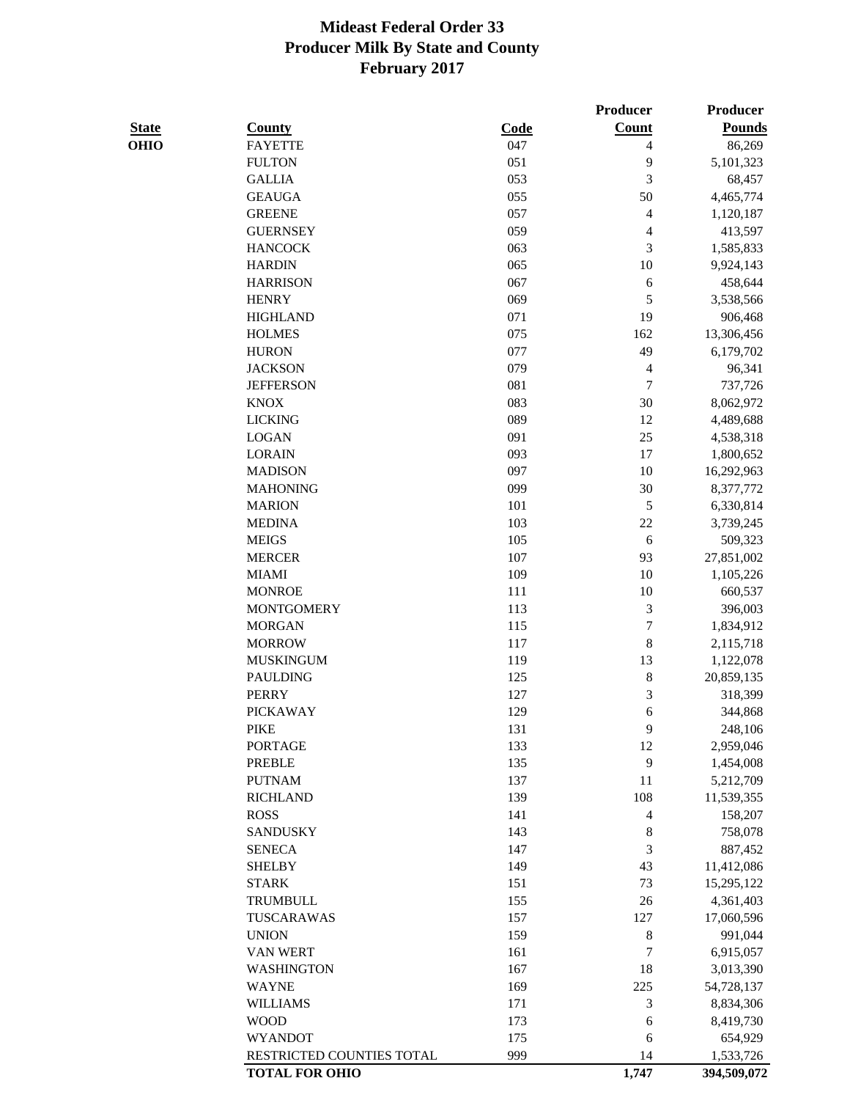|              |                           |      | Producer                 | Producer      |
|--------------|---------------------------|------|--------------------------|---------------|
| <b>State</b> | <b>County</b>             | Code | <b>Count</b>             | <b>Pounds</b> |
| <b>OHIO</b>  | <b>FAYETTE</b>            | 047  | 4                        | 86,269        |
|              | <b>FULTON</b>             | 051  | 9                        | 5,101,323     |
|              | <b>GALLIA</b>             | 053  | 3                        | 68,457        |
|              | <b>GEAUGA</b>             | 055  | 50                       | 4,465,774     |
|              | <b>GREENE</b>             | 057  | 4                        | 1,120,187     |
|              | <b>GUERNSEY</b>           | 059  | $\overline{\mathcal{L}}$ | 413,597       |
|              | <b>HANCOCK</b>            | 063  | 3                        | 1,585,833     |
|              | <b>HARDIN</b>             | 065  | $10\,$                   | 9,924,143     |
|              | <b>HARRISON</b>           | 067  | 6                        | 458,644       |
|              | <b>HENRY</b>              | 069  | 5                        | 3,538,566     |
|              | <b>HIGHLAND</b>           | 071  | 19                       | 906,468       |
|              | <b>HOLMES</b>             | 075  | 162                      | 13,306,456    |
|              | <b>HURON</b>              | 077  | 49                       | 6,179,702     |
|              | <b>JACKSON</b>            | 079  | 4                        | 96,341        |
|              | <b>JEFFERSON</b>          | 081  | $\tau$                   | 737,726       |
|              | <b>KNOX</b>               | 083  | 30                       | 8,062,972     |
|              | <b>LICKING</b>            | 089  | 12                       | 4,489,688     |
|              | <b>LOGAN</b>              | 091  | $25\,$                   | 4,538,318     |
|              | <b>LORAIN</b>             | 093  | 17                       | 1,800,652     |
|              | <b>MADISON</b>            | 097  | 10                       | 16,292,963    |
|              | <b>MAHONING</b>           | 099  | 30                       | 8,377,772     |
|              | <b>MARION</b>             | 101  | $\mathfrak s$            | 6,330,814     |
|              | <b>MEDINA</b>             | 103  | 22                       | 3,739,245     |
|              | <b>MEIGS</b>              | 105  | 6                        | 509,323       |
|              | <b>MERCER</b>             | 107  | 93                       | 27,851,002    |
|              | <b>MIAMI</b>              | 109  | 10                       | 1,105,226     |
|              | <b>MONROE</b>             | 111  | 10                       | 660,537       |
|              | <b>MONTGOMERY</b>         | 113  | $\mathfrak{Z}$           | 396,003       |
|              | <b>MORGAN</b>             | 115  | $\boldsymbol{7}$         | 1,834,912     |
|              | <b>MORROW</b>             | 117  | $\,$ $\,$                | 2,115,718     |
|              | <b>MUSKINGUM</b>          | 119  | 13                       | 1,122,078     |
|              | <b>PAULDING</b>           | 125  | $\,$ 8 $\,$              | 20,859,135    |
|              | <b>PERRY</b>              | 127  | 3                        | 318,399       |
|              | <b>PICKAWAY</b>           | 129  | 6                        | 344,868       |
|              | <b>PIKE</b>               | 131  | 9                        | 248,106       |
|              | <b>PORTAGE</b>            | 133  | 12                       | 2,959,046     |
|              | <b>PREBLE</b>             | 135  | 9                        | 1,454,008     |
|              | <b>PUTNAM</b>             | 137  | 11                       | 5,212,709     |
|              | <b>RICHLAND</b>           | 139  | 108                      | 11,539,355    |
|              | <b>ROSS</b>               | 141  | 4                        | 158,207       |
|              | <b>SANDUSKY</b>           | 143  | $\,$ 8 $\,$              | 758,078       |
|              | <b>SENECA</b>             | 147  | 3                        | 887,452       |
|              | <b>SHELBY</b>             | 149  | 43                       | 11,412,086    |
|              | <b>STARK</b>              | 151  | 73                       | 15,295,122    |
|              | <b>TRUMBULL</b>           | 155  | 26                       | 4,361,403     |
|              | TUSCARAWAS                | 157  | 127                      | 17,060,596    |
|              | <b>UNION</b>              | 159  | $\,$ 8 $\,$              | 991,044       |
|              | <b>VAN WERT</b>           | 161  | $\tau$                   | 6,915,057     |
|              | WASHINGTON                | 167  | 18                       | 3,013,390     |
|              | <b>WAYNE</b>              | 169  | 225                      | 54,728,137    |
|              | <b>WILLIAMS</b>           | 171  | 3                        | 8,834,306     |
|              | <b>WOOD</b>               | 173  | 6                        | 8,419,730     |
|              | <b>WYANDOT</b>            | 175  | 6                        | 654,929       |
|              | RESTRICTED COUNTIES TOTAL | 999  | 14                       | 1,533,726     |
|              | <b>TOTAL FOR OHIO</b>     |      | 1,747                    | 394,509,072   |